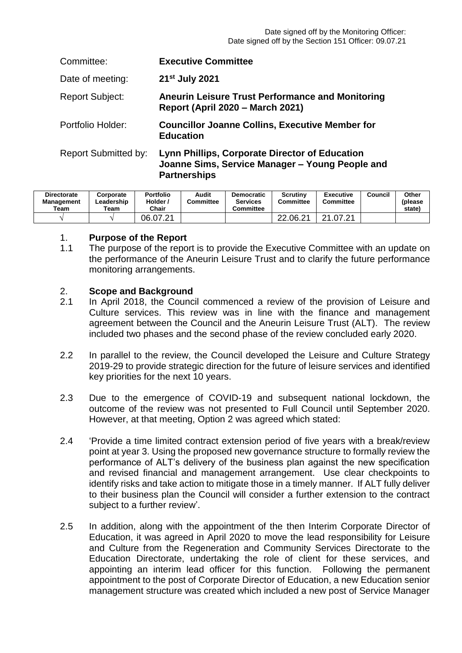| Committee:             | <b>Executive Committee</b>                                                                                                      |
|------------------------|---------------------------------------------------------------------------------------------------------------------------------|
| Date of meeting:       | 21 <sup>st</sup> July 2021                                                                                                      |
| <b>Report Subject:</b> | <b>Aneurin Leisure Trust Performance and Monitoring</b><br><b>Report (April 2020 - March 2021)</b>                              |
| Portfolio Holder:      | <b>Councillor Joanne Collins, Executive Member for</b><br><b>Education</b>                                                      |
| Report Submitted by:   | <b>Lynn Phillips, Corporate Director of Education</b><br>Joanne Sims, Service Manager - Young People and<br><b>Partnerships</b> |

| <b>Directorate</b><br><b>Management</b><br>Team | Corporate<br>Leadership<br>Team | <b>Portfolio</b><br>Holder /<br>Chair | Audit<br>Committee | Democratic<br><b>Services</b><br>Committee | Scrutiny<br>Committee | <b>Executive</b><br>Committee | Council | Other<br>(please<br>state) |
|-------------------------------------------------|---------------------------------|---------------------------------------|--------------------|--------------------------------------------|-----------------------|-------------------------------|---------|----------------------------|
|                                                 |                                 | 06.07.21                              |                    |                                            | 22.06.21              | つイ<br>.07.21                  |         |                            |

#### 1. **Purpose of the Report**

1.1 The purpose of the report is to provide the Executive Committee with an update on the performance of the Aneurin Leisure Trust and to clarify the future performance monitoring arrangements.

#### 2. **Scope and Background**

- 2.1 In April 2018, the Council commenced a review of the provision of Leisure and Culture services. This review was in line with the finance and management agreement between the Council and the Aneurin Leisure Trust (ALT). The review included two phases and the second phase of the review concluded early 2020.
- $2.2<sub>2</sub>$ In parallel to the review, the Council developed the Leisure and Culture Strategy 2019-29 to provide strategic direction for the future of leisure services and identified key priorities for the next 10 years.
- 2.3 Due to the emergence of COVID-19 and subsequent national lockdown, the outcome of the review was not presented to Full Council until September 2020. However, at that meeting, Option 2 was agreed which stated:
- 2.4 'Provide a time limited contract extension period of five years with a break/review point at year 3. Using the proposed new governance structure to formally review the performance of ALT's delivery of the business plan against the new specification and revised financial and management arrangement. Use clear checkpoints to identify risks and take action to mitigate those in a timely manner. If ALT fully deliver to their business plan the Council will consider a further extension to the contract subject to a further review'.
- 2.5 In addition, along with the appointment of the then Interim Corporate Director of Education, it was agreed in April 2020 to move the lead responsibility for Leisure and Culture from the Regeneration and Community Services Directorate to the Education Directorate, undertaking the role of client for these services, and appointing an interim lead officer for this function. Following the permanent appointment to the post of Corporate Director of Education, a new Education senior management structure was created which included a new post of Service Manager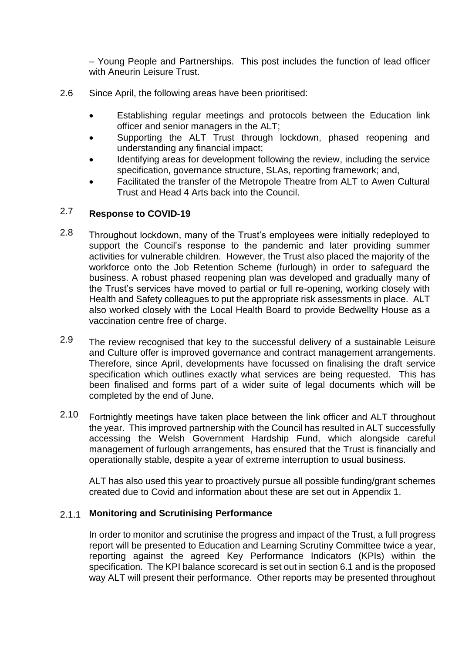– Young People and Partnerships. This post includes the function of lead officer with Aneurin Leisure Trust.

- 2.6 Since April, the following areas have been prioritised:
	- Establishing regular meetings and protocols between the Education link officer and senior managers in the ALT;
	- Supporting the ALT Trust through lockdown, phased reopening and understanding any financial impact;
	- Identifying areas for development following the review, including the service specification, governance structure, SLAs, reporting framework; and,
	- Facilitated the transfer of the Metropole Theatre from ALT to Awen Cultural Trust and Head 4 Arts back into the Council.

#### 2.7 **Response to COVID-19**

- 2.8 Throughout lockdown, many of the Trust's employees were initially redeployed to support the Council's response to the pandemic and later providing summer activities for vulnerable children. However, the Trust also placed the majority of the workforce onto the Job Retention Scheme (furlough) in order to safeguard the business. A robust phased reopening plan was developed and gradually many of the Trust's services have moved to partial or full re-opening, working closely with Health and Safety colleagues to put the appropriate risk assessments in place. ALT also worked closely with the Local Health Board to provide Bedwellty House as a vaccination centre free of charge.
- 2.9 The review recognised that key to the successful delivery of a sustainable Leisure and Culture offer is improved governance and contract management arrangements. Therefore, since April, developments have focussed on finalising the draft service specification which outlines exactly what services are being requested. This has been finalised and forms part of a wider suite of legal documents which will be completed by the end of June.
- 2.10 Fortnightly meetings have taken place between the link officer and ALT throughout the year. This improved partnership with the Council has resulted in ALT successfully accessing the Welsh Government Hardship Fund, which alongside careful management of furlough arrangements, has ensured that the Trust is financially and operationally stable, despite a year of extreme interruption to usual business.

ALT has also used this year to proactively pursue all possible funding/grant schemes created due to Covid and information about these are set out in Appendix 1.

# 2.1.1 **Monitoring and Scrutinising Performance**

In order to monitor and scrutinise the progress and impact of the Trust, a full progress report will be presented to Education and Learning Scrutiny Committee twice a year, reporting against the agreed Key Performance Indicators (KPIs) within the specification. The KPI balance scorecard is set out in section 6.1 and is the proposed way ALT will present their performance. Other reports may be presented throughout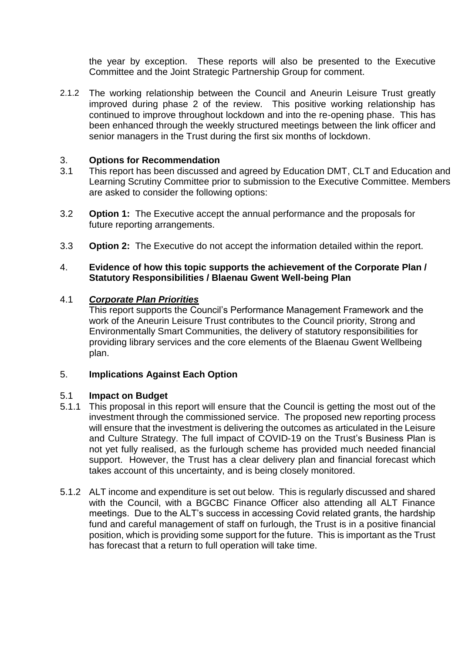the year by exception. These reports will also be presented to the Executive Committee and the Joint Strategic Partnership Group for comment.

2.1.2 The working relationship between the Council and Aneurin Leisure Trust greatly improved during phase 2 of the review. This positive working relationship has continued to improve throughout lockdown and into the re-opening phase. This has been enhanced through the weekly structured meetings between the link officer and senior managers in the Trust during the first six months of lockdown.

### 3. **Options for Recommendation**

- 3.1 This report has been discussed and agreed by Education DMT, CLT and Education and Learning Scrutiny Committee prior to submission to the Executive Committee. Members are asked to consider the following options:
- 3.2 **Option 1:** The Executive accept the annual performance and the proposals for future reporting arrangements.
- 3.3 **Option 2:** The Executive do not accept the information detailed within the report.

## 4. **Evidence of how this topic supports the achievement of the Corporate Plan / Statutory Responsibilities / Blaenau Gwent Well-being Plan**

### 4.1 *Corporate Plan Priorities*

This report supports the Council's Performance Management Framework and the work of the Aneurin Leisure Trust contributes to the Council priority, Strong and Environmentally Smart Communities, the delivery of statutory responsibilities for providing library services and the core elements of the Blaenau Gwent Wellbeing plan.

# 5. **Implications Against Each Option**

#### 5.1 **Impact on Budget**

- 5.1.1 This proposal in this report will ensure that the Council is getting the most out of the investment through the commissioned service. The proposed new reporting process will ensure that the investment is delivering the outcomes as articulated in the Leisure and Culture Strategy. The full impact of COVID-19 on the Trust's Business Plan is not yet fully realised, as the furlough scheme has provided much needed financial support. However, the Trust has a clear delivery plan and financial forecast which takes account of this uncertainty, and is being closely monitored.
- 5.1.2 ALT income and expenditure is set out below. This is regularly discussed and shared with the Council, with a BGCBC Finance Officer also attending all ALT Finance meetings. Due to the ALT's success in accessing Covid related grants, the hardship fund and careful management of staff on furlough, the Trust is in a positive financial position, which is providing some support for the future. This is important as the Trust has forecast that a return to full operation will take time.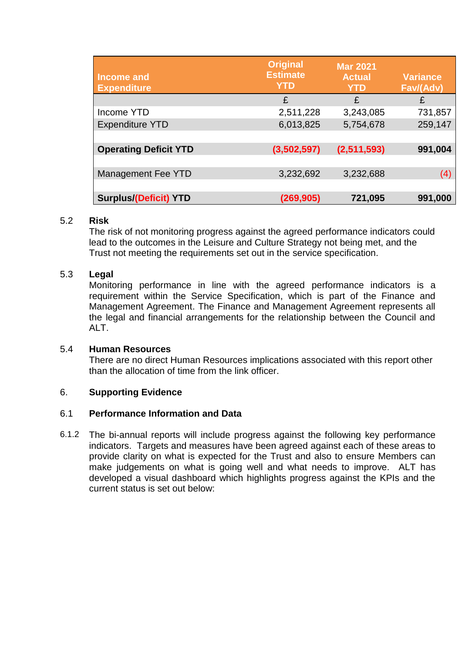| <b>Income and</b><br><b>Expenditure</b> | <b>Original</b><br><b>Estimate</b><br><b>YTD</b> | <b>Mar 2021</b><br><b>Actual</b><br><b>YTD</b> | <b>Variance</b><br>Fav/(Adv) |
|-----------------------------------------|--------------------------------------------------|------------------------------------------------|------------------------------|
|                                         | £                                                | £                                              | £                            |
| Income YTD                              | 2,511,228                                        | 3,243,085                                      | 731,857                      |
| <b>Expenditure YTD</b>                  | 6,013,825                                        | 5,754,678                                      | 259,147                      |
|                                         |                                                  |                                                |                              |
| <b>Operating Deficit YTD</b>            | (3,502,597)                                      | (2,511,593)                                    | 991,004                      |
|                                         |                                                  |                                                |                              |
| Management Fee YTD                      | 3,232,692                                        | 3,232,688                                      | (4)                          |
|                                         |                                                  |                                                |                              |
| <b>Surplus/(Deficit) YTD</b>            | (269, 905)                                       | 721,095                                        | 991,000                      |

### 5.2 **Risk**

The risk of not monitoring progress against the agreed performance indicators could lead to the outcomes in the Leisure and Culture Strategy not being met, and the Trust not meeting the requirements set out in the service specification.

#### 5.3 **Legal**

Monitoring performance in line with the agreed performance indicators is a requirement within the Service Specification, which is part of the Finance and Management Agreement. The Finance and Management Agreement represents all the legal and financial arrangements for the relationship between the Council and ALT.

#### 5.4 **Human Resources**

There are no direct Human Resources implications associated with this report other than the allocation of time from the link officer.

### 6. **Supporting Evidence**

#### 6.1 **Performance Information and Data**

6.1.2 The bi-annual reports will include progress against the following key performance indicators. Targets and measures have been agreed against each of these areas to provide clarity on what is expected for the Trust and also to ensure Members can make judgements on what is going well and what needs to improve. ALT has developed a visual dashboard which highlights progress against the KPIs and the current status is set out below: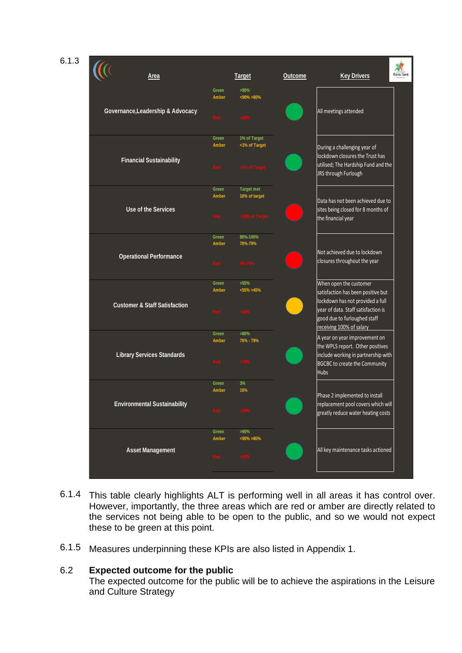6.1.3



- 6.1.4 This table clearly highlights ALT is performing well in all areas it has control over. However, importantly, the three areas which are red or amber are directly related to the services not being able to be open to the public, and so we would not expect these to be green at this point.
- 6.1.5 Measures underpinning these KPIs are also listed in Appendix 1.

#### 6.2 **Expected outcome for the public**

The expected outcome for the public will be to achieve the aspirations in the Leisure and Culture Strategy